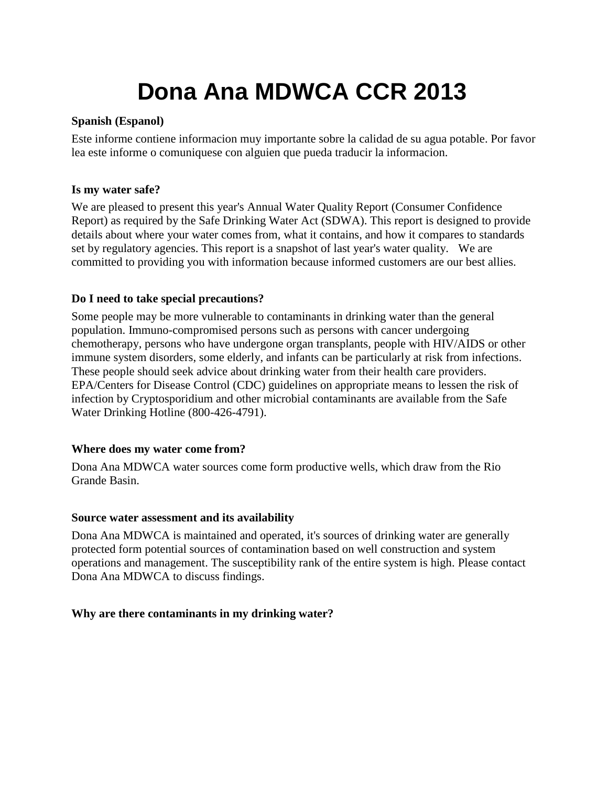# **Dona Ana MDWCA CCR 2013**

#### **Spanish (Espanol)**

Este informe contiene informacion muy importante sobre la calidad de su agua potable. Por favor lea este informe o comuniquese con alguien que pueda traducir la informacion.

#### **Is my water safe?**

We are pleased to present this year's Annual Water Quality Report (Consumer Confidence Report) as required by the Safe Drinking Water Act (SDWA). This report is designed to provide details about where your water comes from, what it contains, and how it compares to standards set by regulatory agencies. This report is a snapshot of last year's water quality. We are committed to providing you with information because informed customers are our best allies.

#### **Do I need to take special precautions?**

Some people may be more vulnerable to contaminants in drinking water than the general population. Immuno-compromised persons such as persons with cancer undergoing chemotherapy, persons who have undergone organ transplants, people with HIV/AIDS or other immune system disorders, some elderly, and infants can be particularly at risk from infections. These people should seek advice about drinking water from their health care providers. EPA/Centers for Disease Control (CDC) guidelines on appropriate means to lessen the risk of infection by Cryptosporidium and other microbial contaminants are available from the Safe Water Drinking Hotline (800-426-4791).

#### **Where does my water come from?**

Dona Ana MDWCA water sources come form productive wells, which draw from the Rio Grande Basin.

#### **Source water assessment and its availability**

Dona Ana MDWCA is maintained and operated, it's sources of drinking water are generally protected form potential sources of contamination based on well construction and system operations and management. The susceptibility rank of the entire system is high. Please contact Dona Ana MDWCA to discuss findings.

#### **Why are there contaminants in my drinking water?**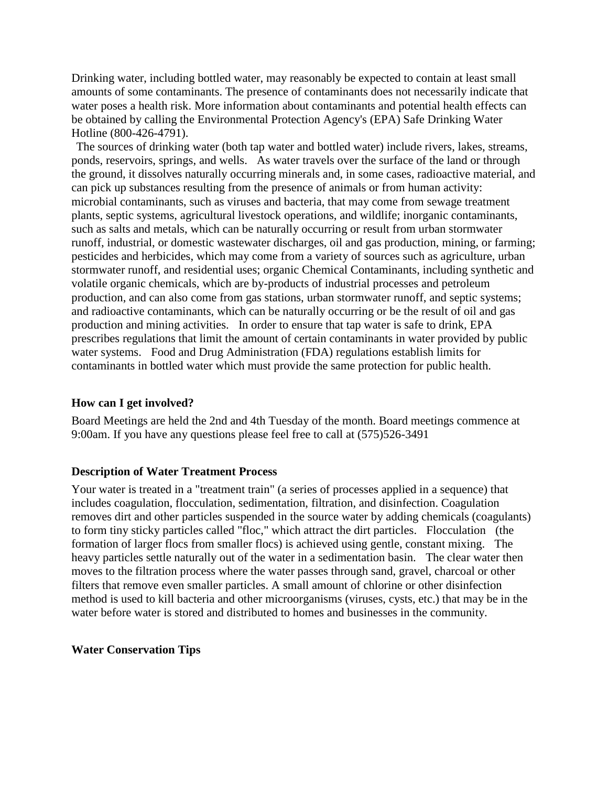Drinking water, including bottled water, may reasonably be expected to contain at least small amounts of some contaminants. The presence of contaminants does not necessarily indicate that water poses a health risk. More information about contaminants and potential health effects can be obtained by calling the Environmental Protection Agency's (EPA) Safe Drinking Water Hotline (800-426-4791).

The sources of drinking water (both tap water and bottled water) include rivers, lakes, streams, ponds, reservoirs, springs, and wells. As water travels over the surface of the land or through the ground, it dissolves naturally occurring minerals and, in some cases, radioactive material, and can pick up substances resulting from the presence of animals or from human activity: microbial contaminants, such as viruses and bacteria, that may come from sewage treatment plants, septic systems, agricultural livestock operations, and wildlife; inorganic contaminants, such as salts and metals, which can be naturally occurring or result from urban stormwater runoff, industrial, or domestic wastewater discharges, oil and gas production, mining, or farming; pesticides and herbicides, which may come from a variety of sources such as agriculture, urban stormwater runoff, and residential uses; organic Chemical Contaminants, including synthetic and volatile organic chemicals, which are by-products of industrial processes and petroleum production, and can also come from gas stations, urban stormwater runoff, and septic systems; and radioactive contaminants, which can be naturally occurring or be the result of oil and gas production and mining activities. In order to ensure that tap water is safe to drink, EPA prescribes regulations that limit the amount of certain contaminants in water provided by public water systems. Food and Drug Administration (FDA) regulations establish limits for contaminants in bottled water which must provide the same protection for public health.

#### **How can I get involved?**

Board Meetings are held the 2nd and 4th Tuesday of the month. Board meetings commence at 9:00am. If you have any questions please feel free to call at (575)526-3491

#### **Description of Water Treatment Process**

Your water is treated in a "treatment train" (a series of processes applied in a sequence) that includes coagulation, flocculation, sedimentation, filtration, and disinfection. Coagulation removes dirt and other particles suspended in the source water by adding chemicals (coagulants) to form tiny sticky particles called "floc," which attract the dirt particles. Flocculation (the formation of larger flocs from smaller flocs) is achieved using gentle, constant mixing. The heavy particles settle naturally out of the water in a sedimentation basin. The clear water then moves to the filtration process where the water passes through sand, gravel, charcoal or other filters that remove even smaller particles. A small amount of chlorine or other disinfection method is used to kill bacteria and other microorganisms (viruses, cysts, etc.) that may be in the water before water is stored and distributed to homes and businesses in the community.

**Water Conservation Tips**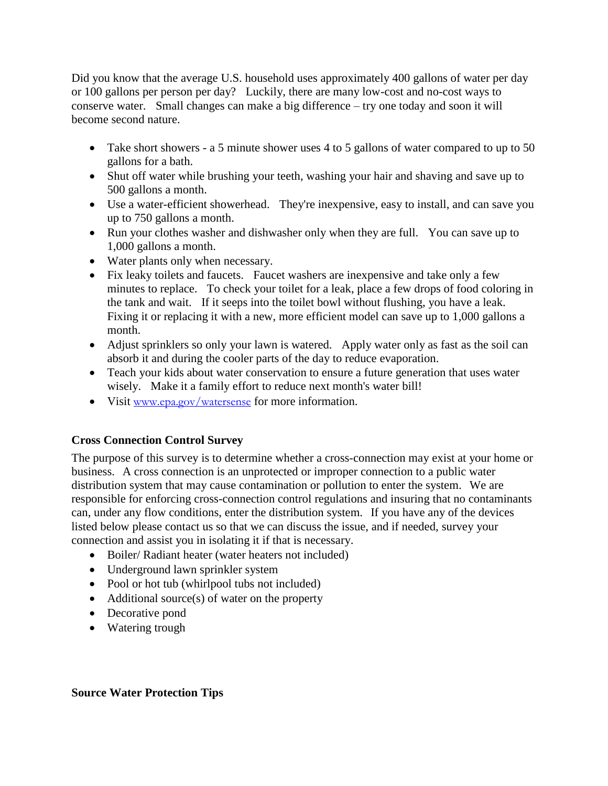Did you know that the average U.S. household uses approximately 400 gallons of water per day or 100 gallons per person per day? Luckily, there are many low-cost and no-cost ways to conserve water. Small changes can make a big difference – try one today and soon it will become second nature.

- Take short showers a 5 minute shower uses 4 to 5 gallons of water compared to up to 50 gallons for a bath.
- Shut off water while brushing your teeth, washing your hair and shaving and save up to 500 gallons a month.
- Use a water-efficient showerhead. They're inexpensive, easy to install, and can save you up to 750 gallons a month.
- Run your clothes washer and dishwasher only when they are full. You can save up to 1,000 gallons a month.
- Water plants only when necessary.
- Fix leaky toilets and faucets. Faucet washers are inexpensive and take only a few minutes to replace. To check your toilet for a leak, place a few drops of food coloring in the tank and wait. If it seeps into the toilet bowl without flushing, you have a leak. Fixing it or replacing it with a new, more efficient model can save up to 1,000 gallons a month.
- Adjust sprinklers so only your lawn is watered. Apply water only as fast as the soil can absorb it and during the cooler parts of the day to reduce evaporation.
- Teach your kids about water conservation to ensure a future generation that uses water wisely. Make it a family effort to reduce next month's water bill!
- Visit [www.epa.gov/watersense](http://www.epa.gov/watersense) for more information.

### **Cross Connection Control Survey**

The purpose of this survey is to determine whether a cross-connection may exist at your home or business. A cross connection is an unprotected or improper connection to a public water distribution system that may cause contamination or pollution to enter the system. We are responsible for enforcing cross-connection control regulations and insuring that no contaminants can, under any flow conditions, enter the distribution system. If you have any of the devices listed below please contact us so that we can discuss the issue, and if needed, survey your connection and assist you in isolating it if that is necessary.

- Boiler/ Radiant heater (water heaters not included)
- Underground lawn sprinkler system
- Pool or hot tub (whirlpool tubs not included)
- $\bullet$  Additional source(s) of water on the property
- Decorative pond
- Watering trough

#### **Source Water Protection Tips**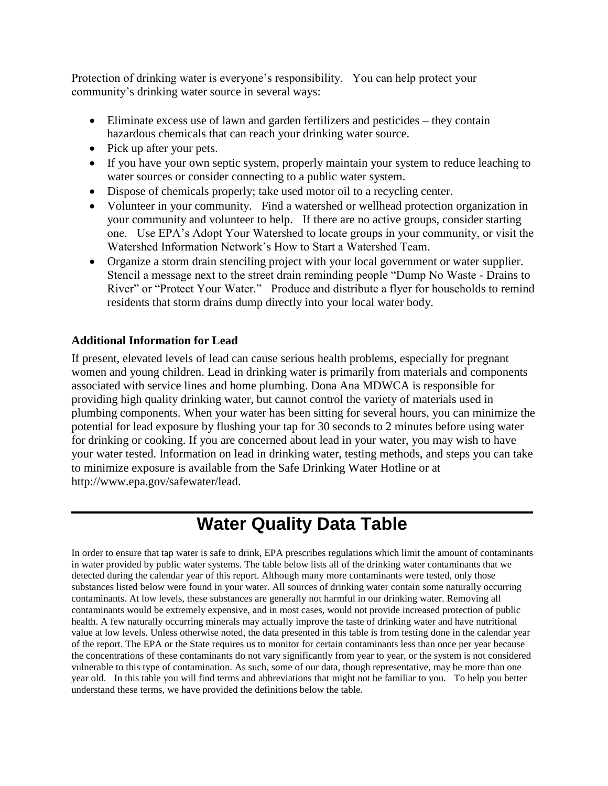Protection of drinking water is everyone's responsibility. You can help protect your community's drinking water source in several ways:

- Eliminate excess use of lawn and garden fertilizers and pesticides they contain hazardous chemicals that can reach your drinking water source.
- Pick up after your pets.
- If you have your own septic system, properly maintain your system to reduce leaching to water sources or consider connecting to a public water system.
- Dispose of chemicals properly; take used motor oil to a recycling center.
- Volunteer in your community. Find a watershed or wellhead protection organization in your community and volunteer to help. If there are no active groups, consider starting one. Use EPA's Adopt Your Watershed to locate groups in your community, or visit the Watershed Information Network's How to Start a Watershed Team.
- Organize a storm drain stenciling project with your local government or water supplier. Stencil a message next to the street drain reminding people "Dump No Waste - Drains to River" or "Protect Your Water." Produce and distribute a flyer for households to remind residents that storm drains dump directly into your local water body.

#### **Additional Information for Lead**

If present, elevated levels of lead can cause serious health problems, especially for pregnant women and young children. Lead in drinking water is primarily from materials and components associated with service lines and home plumbing. Dona Ana MDWCA is responsible for providing high quality drinking water, but cannot control the variety of materials used in plumbing components. When your water has been sitting for several hours, you can minimize the potential for lead exposure by flushing your tap for 30 seconds to 2 minutes before using water for drinking or cooking. If you are concerned about lead in your water, you may wish to have your water tested. Information on lead in drinking water, testing methods, and steps you can take to minimize exposure is available from the Safe Drinking Water Hotline or at http://www.epa.gov/safewater/lead.

# **Water Quality Data Table**

In order to ensure that tap water is safe to drink, EPA prescribes regulations which limit the amount of contaminants in water provided by public water systems. The table below lists all of the drinking water contaminants that we detected during the calendar year of this report. Although many more contaminants were tested, only those substances listed below were found in your water. All sources of drinking water contain some naturally occurring contaminants. At low levels, these substances are generally not harmful in our drinking water. Removing all contaminants would be extremely expensive, and in most cases, would not provide increased protection of public health. A few naturally occurring minerals may actually improve the taste of drinking water and have nutritional value at low levels. Unless otherwise noted, the data presented in this table is from testing done in the calendar year of the report. The EPA or the State requires us to monitor for certain contaminants less than once per year because the concentrations of these contaminants do not vary significantly from year to year, or the system is not considered vulnerable to this type of contamination. As such, some of our data, though representative, may be more than one year old. In this table you will find terms and abbreviations that might not be familiar to you. To help you better understand these terms, we have provided the definitions below the table.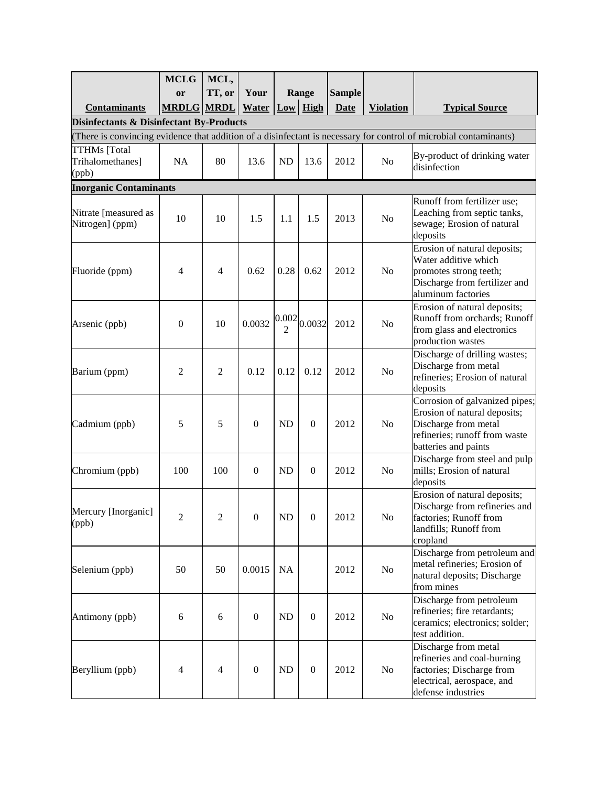|                                                     | <b>MCLG</b>       | MCL,           |                  |                                      |                  |               |                  |                                                                                                                                                 |
|-----------------------------------------------------|-------------------|----------------|------------------|--------------------------------------|------------------|---------------|------------------|-------------------------------------------------------------------------------------------------------------------------------------------------|
|                                                     | or                | TT, or         | Your             |                                      | Range            | <b>Sample</b> |                  |                                                                                                                                                 |
| <b>Contaminants</b>                                 | <b>MRDLG MRDL</b> |                | <b>Water</b>     |                                      | $Low$ High       | <b>Date</b>   | <b>Violation</b> | <b>Typical Source</b>                                                                                                                           |
| <b>Disinfectants &amp; Disinfectant By-Products</b> |                   |                |                  |                                      |                  |               |                  |                                                                                                                                                 |
|                                                     |                   |                |                  |                                      |                  |               |                  | (There is convincing evidence that addition of a disinfectant is necessary for control of microbial contaminants)                               |
| <b>TTHMs</b> [Total<br>Trihalomethanes]<br>(ppb)    | <b>NA</b>         | 80             | 13.6             | <b>ND</b>                            | 13.6             | 2012          | No               | By-product of drinking water<br>disinfection                                                                                                    |
| <b>Inorganic Contaminants</b>                       |                   |                |                  |                                      |                  |               |                  |                                                                                                                                                 |
| Nitrate [measured as<br>Nitrogen] (ppm)             | 10                | 10             | 1.5              | 1.1                                  | 1.5              | 2013          | N <sub>o</sub>   | Runoff from fertilizer use;<br>Leaching from septic tanks,<br>sewage; Erosion of natural<br>deposits                                            |
| Fluoride (ppm)                                      | 4                 | $\overline{4}$ | 0.62             | 0.28                                 | 0.62             | 2012          | No               | Erosion of natural deposits;<br>Water additive which<br>promotes strong teeth;<br>Discharge from fertilizer and<br>aluminum factories           |
| Arsenic (ppb)                                       | $\overline{0}$    | 10             | 0.0032           | 0.002<br>$\mathcal{D}_{\mathcal{A}}$ | 0.0032           | 2012          | N <sub>o</sub>   | Erosion of natural deposits;<br>Runoff from orchards; Runoff<br>from glass and electronics<br>production wastes                                 |
| Barium (ppm)                                        | 2                 | $\mathfrak{2}$ | 0.12             | 0.12                                 | 0.12             | 2012          | N <sub>o</sub>   | Discharge of drilling wastes;<br>Discharge from metal<br>refineries; Erosion of natural<br>deposits                                             |
| Cadmium (ppb)                                       | 5                 | 5              | $\boldsymbol{0}$ | <b>ND</b>                            | $\mathbf{0}$     | 2012          | N <sub>o</sub>   | Corrosion of galvanized pipes;<br>Erosion of natural deposits;<br>Discharge from metal<br>refineries; runoff from waste<br>batteries and paints |
| Chromium (ppb)                                      | 100               | 100            | $\overline{0}$   | ND                                   | $\mathbf{0}$     | 2012          | No               | Discharge from steel and pulp<br>mills; Erosion of natural<br>deposits                                                                          |
| Mercury [Inorganic]<br>(ppb)                        | 2                 | $\overline{2}$ | $\boldsymbol{0}$ | ND                                   | 0                | 2012          | No               | Erosion of natural deposits;<br>Discharge from refineries and<br>factories; Runoff from<br>landfills; Runoff from<br>cropland                   |
| Selenium (ppb)                                      | 50                | 50             | 0.0015           | NA                                   |                  | 2012          | No               | Discharge from petroleum and<br>metal refineries; Erosion of<br>natural deposits; Discharge<br>from mines                                       |
| Antimony (ppb)                                      | 6                 | 6              | $\boldsymbol{0}$ | ND                                   | $\boldsymbol{0}$ | 2012          | No               | Discharge from petroleum<br>refineries; fire retardants;<br>ceramics; electronics; solder;<br>test addition.                                    |
| Beryllium (ppb)                                     | $\overline{4}$    | 4              | $\boldsymbol{0}$ | ND                                   | $\boldsymbol{0}$ | 2012          | No               | Discharge from metal<br>refineries and coal-burning<br>factories; Discharge from<br>electrical, aerospace, and<br>defense industries            |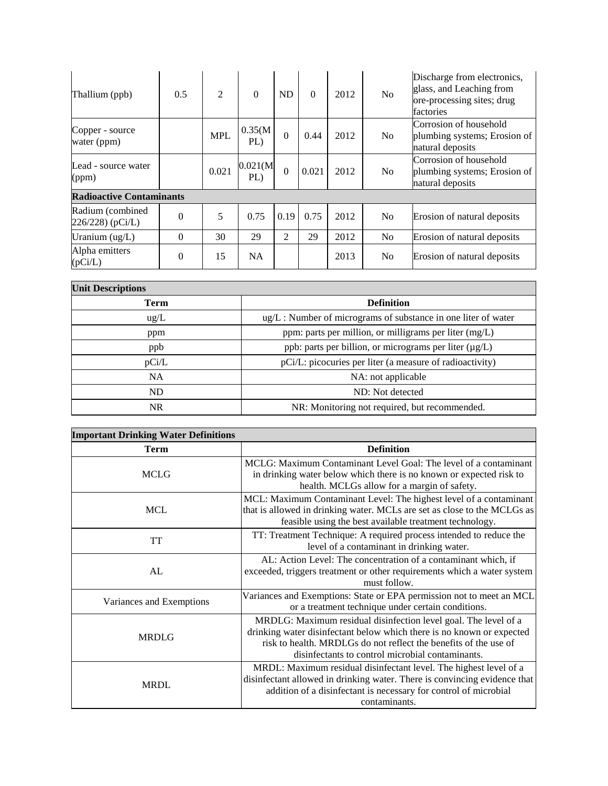| Thallium (ppb)                        | 0.5      | 2          | $\Omega$        | ND           | $\Omega$ | 2012 | <b>No</b>      | Discharge from electronics,<br>glass, and Leaching from<br>ore-processing sites; drug<br>factories |
|---------------------------------------|----------|------------|-----------------|--------------|----------|------|----------------|----------------------------------------------------------------------------------------------------|
| Copper - source<br>water (ppm)        |          | <b>MPL</b> | 0.35(M)<br>PL)  | $\theta$     | 0.44     | 2012 | N <sub>o</sub> | Corrosion of household<br>plumbing systems; Erosion of<br>natural deposits                         |
| Lead - source water<br>(ppm)          |          | 0.021      | 0.021(M)<br>PL) | $\mathbf{0}$ | 0.021    | 2012 | <b>No</b>      | Corrosion of household<br>plumbing systems; Erosion of<br>natural deposits                         |
| <b>Radioactive Contaminants</b>       |          |            |                 |              |          |      |                |                                                                                                    |
| Radium (combined<br>$226/228$ (pCi/L) | $\Omega$ | 5          | 0.75            | 0.19         | 0.75     | 2012 | N <sub>o</sub> | Erosion of natural deposits                                                                        |
| Uranium $(ug/L)$                      | $\Omega$ | 30         | 29              | 2            | 29       | 2012 | N <sub>o</sub> | Erosion of natural deposits                                                                        |
| Alpha emitters<br>(pCi/L)             | $\Omega$ | 15         | NA              |              |          | 2013 | N <sub>0</sub> | Erosion of natural deposits                                                                        |

| <b>Unit Descriptions</b> |                                                                     |
|--------------------------|---------------------------------------------------------------------|
| Term                     | <b>Definition</b>                                                   |
| ug/L                     | $\mu$ g/L : Number of micrograms of substance in one liter of water |
| ppm                      | ppm: parts per million, or milligrams per liter (mg/L)              |
| ppb                      | ppb: parts per billion, or micrograms per liter (µg/L)              |
| pCi/L                    | pCi/L: picocuries per liter (a measure of radioactivity)            |
| NA                       | NA: not applicable                                                  |
| ND                       | ND: Not detected                                                    |
| <b>NR</b>                | NR: Monitoring not required, but recommended.                       |

| <b>Important Drinking Water Definitions</b> |                                                                                                                                                                                                                                                                  |  |  |  |  |
|---------------------------------------------|------------------------------------------------------------------------------------------------------------------------------------------------------------------------------------------------------------------------------------------------------------------|--|--|--|--|
| <b>Term</b>                                 | <b>Definition</b>                                                                                                                                                                                                                                                |  |  |  |  |
| <b>MCLG</b>                                 | MCLG: Maximum Contaminant Level Goal: The level of a contaminant<br>in drinking water below which there is no known or expected risk to<br>health. MCLGs allow for a margin of safety.                                                                           |  |  |  |  |
| <b>MCL</b>                                  | MCL: Maximum Contaminant Level: The highest level of a contaminant<br>that is allowed in drinking water. MCLs are set as close to the MCLGs as<br>feasible using the best available treatment technology.                                                        |  |  |  |  |
| <b>TT</b>                                   | TT: Treatment Technique: A required process intended to reduce the<br>level of a contaminant in drinking water.                                                                                                                                                  |  |  |  |  |
| AL                                          | AL: Action Level: The concentration of a contaminant which, if<br>exceeded, triggers treatment or other requirements which a water system<br>must follow.                                                                                                        |  |  |  |  |
| Variances and Exemptions                    | Variances and Exemptions: State or EPA permission not to meet an MCL<br>or a treatment technique under certain conditions.                                                                                                                                       |  |  |  |  |
| <b>MRDLG</b>                                | MRDLG: Maximum residual disinfection level goal. The level of a<br>drinking water disinfectant below which there is no known or expected<br>risk to health. MRDLGs do not reflect the benefits of the use of<br>disinfectants to control microbial contaminants. |  |  |  |  |
| <b>MRDL</b>                                 | MRDL: Maximum residual disinfectant level. The highest level of a<br>disinfectant allowed in drinking water. There is convincing evidence that<br>addition of a disinfectant is necessary for control of microbial<br>contaminants.                              |  |  |  |  |